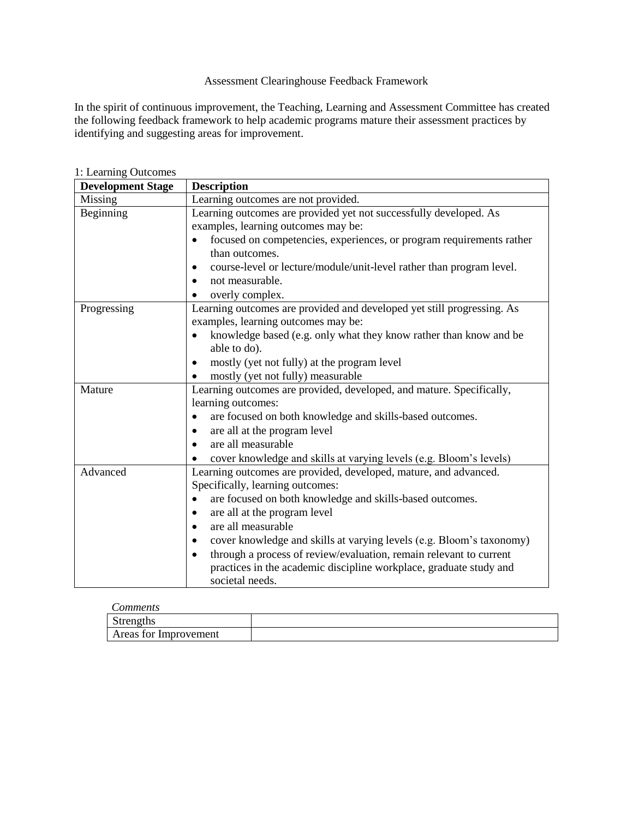# Assessment Clearinghouse Feedback Framework

In the spirit of continuous improvement, the Teaching, Learning and Assessment Committee has created the following feedback framework to help academic programs mature their assessment practices by identifying and suggesting areas for improvement.

| <b>Development Stage</b> | <b>Description</b>                                                                                                                                                                                                                                                                                                                                                                                                                                                                      |
|--------------------------|-----------------------------------------------------------------------------------------------------------------------------------------------------------------------------------------------------------------------------------------------------------------------------------------------------------------------------------------------------------------------------------------------------------------------------------------------------------------------------------------|
| Missing                  | Learning outcomes are not provided.                                                                                                                                                                                                                                                                                                                                                                                                                                                     |
| Beginning                | Learning outcomes are provided yet not successfully developed. As<br>examples, learning outcomes may be:<br>focused on competencies, experiences, or program requirements rather<br>than outcomes.<br>course-level or lecture/module/unit-level rather than program level.<br>not measurable.<br>overly complex.                                                                                                                                                                        |
| Progressing              | Learning outcomes are provided and developed yet still progressing. As<br>examples, learning outcomes may be:<br>knowledge based (e.g. only what they know rather than know and be<br>able to do).<br>mostly (yet not fully) at the program level<br>mostly (yet not fully) measurable                                                                                                                                                                                                  |
| Mature                   | Learning outcomes are provided, developed, and mature. Specifically,<br>learning outcomes:<br>are focused on both knowledge and skills-based outcomes.<br>are all at the program level<br>are all measurable<br>cover knowledge and skills at varying levels (e.g. Bloom's levels)                                                                                                                                                                                                      |
| Advanced                 | Learning outcomes are provided, developed, mature, and advanced.<br>Specifically, learning outcomes:<br>are focused on both knowledge and skills-based outcomes.<br>$\bullet$<br>are all at the program level<br>are all measurable<br>cover knowledge and skills at varying levels (e.g. Bloom's taxonomy)<br>through a process of review/evaluation, remain relevant to current<br>$\bullet$<br>practices in the academic discipline workplace, graduate study and<br>societal needs. |

1: Learning Outcomes

| comments              |  |
|-----------------------|--|
| <b>Strengths</b>      |  |
| Areas for Improvement |  |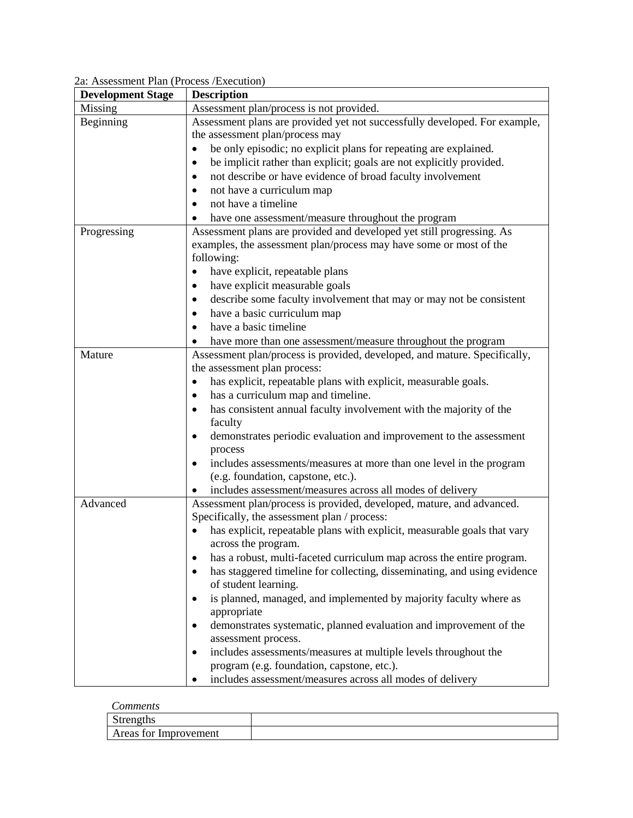# 2a: Assessment Plan (Process /Execution)

| <b>Development Stage</b> | <b>Description</b>                                                         |  |  |  |
|--------------------------|----------------------------------------------------------------------------|--|--|--|
| Missing                  | Assessment plan/process is not provided.                                   |  |  |  |
| Beginning                | Assessment plans are provided yet not successfully developed. For example, |  |  |  |
|                          | the assessment plan/process may                                            |  |  |  |
|                          | be only episodic; no explicit plans for repeating are explained.           |  |  |  |
|                          | be implicit rather than explicit; goals are not explicitly provided.       |  |  |  |
|                          | not describe or have evidence of broad faculty involvement                 |  |  |  |
|                          | not have a curriculum map                                                  |  |  |  |
|                          | not have a timeline                                                        |  |  |  |
|                          | have one assessment/measure throughout the program                         |  |  |  |
| Progressing              | Assessment plans are provided and developed yet still progressing. As      |  |  |  |
|                          | examples, the assessment plan/process may have some or most of the         |  |  |  |
|                          | following:                                                                 |  |  |  |
|                          | have explicit, repeatable plans                                            |  |  |  |
|                          | have explicit measurable goals                                             |  |  |  |
|                          | describe some faculty involvement that may or may not be consistent        |  |  |  |
|                          | have a basic curriculum map                                                |  |  |  |
|                          | have a basic timeline                                                      |  |  |  |
|                          | have more than one assessment/measure throughout the program               |  |  |  |
| Mature                   | Assessment plan/process is provided, developed, and mature. Specifically,  |  |  |  |
|                          | the assessment plan process:                                               |  |  |  |
|                          | has explicit, repeatable plans with explicit, measurable goals.            |  |  |  |
|                          | has a curriculum map and timeline.                                         |  |  |  |
|                          | has consistent annual faculty involvement with the majority of the         |  |  |  |
|                          | faculty                                                                    |  |  |  |
|                          | demonstrates periodic evaluation and improvement to the assessment         |  |  |  |
|                          | process                                                                    |  |  |  |
|                          | includes assessments/measures at more than one level in the program        |  |  |  |
|                          | (e.g. foundation, capstone, etc.).                                         |  |  |  |
|                          | includes assessment/measures across all modes of delivery                  |  |  |  |
| Advanced                 | Assessment plan/process is provided, developed, mature, and advanced.      |  |  |  |
|                          | Specifically, the assessment plan / process:                               |  |  |  |
|                          | has explicit, repeatable plans with explicit, measurable goals that vary   |  |  |  |
|                          | across the program.                                                        |  |  |  |
|                          | has a robust, multi-faceted curriculum map across the entire program.      |  |  |  |
|                          | has staggered timeline for collecting, disseminating, and using evidence   |  |  |  |
|                          | of student learning.                                                       |  |  |  |
|                          | is planned, managed, and implemented by majority faculty where as          |  |  |  |
|                          | appropriate                                                                |  |  |  |
|                          | demonstrates systematic, planned evaluation and improvement of the         |  |  |  |
|                          | assessment process.                                                        |  |  |  |
|                          | includes assessments/measures at multiple levels throughout the            |  |  |  |
|                          | program (e.g. foundation, capstone, etc.).                                 |  |  |  |
|                          | includes assessment/measures across all modes of delivery                  |  |  |  |

#### *Comments*

| $\tilde{\phantom{a}}$<br>Strenguis |  |
|------------------------------------|--|
| Areas for<br>· Improvement         |  |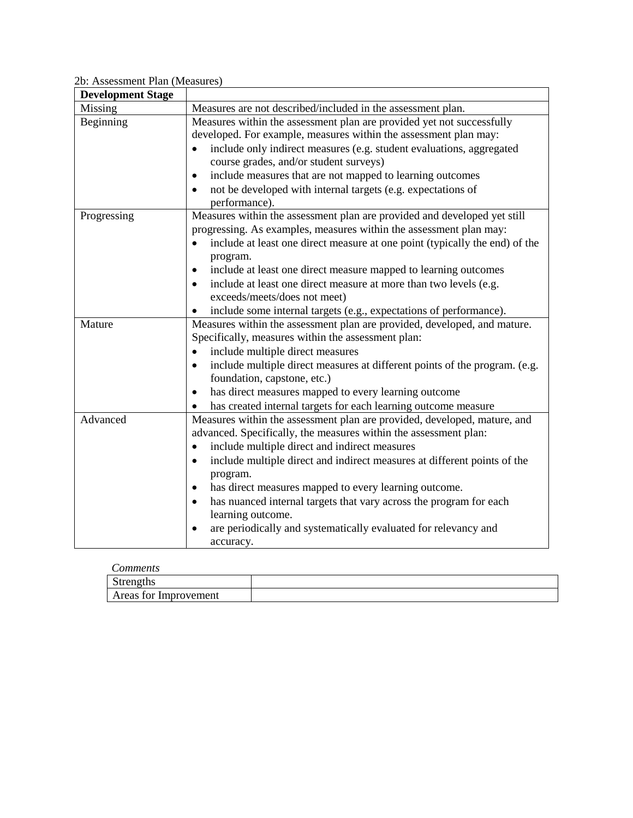### 2b: Assessment Plan (Measures)

| <b>Development Stage</b> |                                                                                                                                                                                                                                                                                                                                                                                                                                                                                                                                                     |
|--------------------------|-----------------------------------------------------------------------------------------------------------------------------------------------------------------------------------------------------------------------------------------------------------------------------------------------------------------------------------------------------------------------------------------------------------------------------------------------------------------------------------------------------------------------------------------------------|
| Missing                  | Measures are not described/included in the assessment plan.                                                                                                                                                                                                                                                                                                                                                                                                                                                                                         |
| Beginning                | Measures within the assessment plan are provided yet not successfully<br>developed. For example, measures within the assessment plan may:<br>include only indirect measures (e.g. student evaluations, aggregated<br>course grades, and/or student surveys)<br>include measures that are not mapped to learning outcomes<br>$\bullet$<br>not be developed with internal targets (e.g. expectations of<br>performance).                                                                                                                              |
| Progressing              | Measures within the assessment plan are provided and developed yet still<br>progressing. As examples, measures within the assessment plan may:<br>include at least one direct measure at one point (typically the end) of the<br>$\bullet$<br>program.<br>include at least one direct measure mapped to learning outcomes<br>include at least one direct measure at more than two levels (e.g.<br>exceeds/meets/does not meet)<br>include some internal targets (e.g., expectations of performance).<br>$\bullet$                                   |
| Mature                   | Measures within the assessment plan are provided, developed, and mature.<br>Specifically, measures within the assessment plan:<br>include multiple direct measures<br>include multiple direct measures at different points of the program. (e.g.<br>foundation, capstone, etc.)<br>has direct measures mapped to every learning outcome<br>$\bullet$<br>has created internal targets for each learning outcome measure                                                                                                                              |
| Advanced                 | Measures within the assessment plan are provided, developed, mature, and<br>advanced. Specifically, the measures within the assessment plan:<br>include multiple direct and indirect measures<br>$\bullet$<br>include multiple direct and indirect measures at different points of the<br>$\bullet$<br>program.<br>has direct measures mapped to every learning outcome.<br>has nuanced internal targets that vary across the program for each<br>learning outcome.<br>are periodically and systematically evaluated for relevancy and<br>accuracy. |

#### *Comments*

| ------------          |  |
|-----------------------|--|
| Strengths             |  |
| Areas for Improvement |  |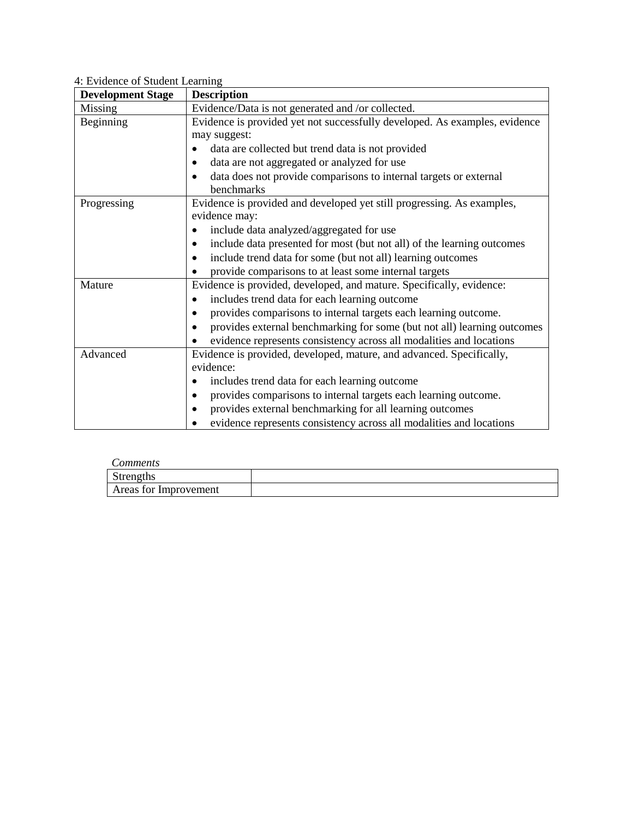# 4: Evidence of Student Learning

| <b>Development Stage</b> | <b>Description</b>                                                                   |  |  |
|--------------------------|--------------------------------------------------------------------------------------|--|--|
| Missing                  | Evidence/Data is not generated and /or collected.                                    |  |  |
| Beginning                | Evidence is provided yet not successfully developed. As examples, evidence           |  |  |
|                          | may suggest:                                                                         |  |  |
|                          | data are collected but trend data is not provided                                    |  |  |
|                          | data are not aggregated or analyzed for use                                          |  |  |
|                          | data does not provide comparisons to internal targets or external                    |  |  |
|                          | benchmarks                                                                           |  |  |
| Progressing              | Evidence is provided and developed yet still progressing. As examples,               |  |  |
|                          | evidence may:                                                                        |  |  |
|                          | include data analyzed/aggregated for use                                             |  |  |
|                          | include data presented for most (but not all) of the learning outcomes               |  |  |
|                          | include trend data for some (but not all) learning outcomes                          |  |  |
|                          | provide comparisons to at least some internal targets                                |  |  |
| Mature                   | Evidence is provided, developed, and mature. Specifically, evidence:                 |  |  |
|                          | includes trend data for each learning outcome<br>$\bullet$                           |  |  |
|                          | provides comparisons to internal targets each learning outcome.                      |  |  |
|                          | provides external benchmarking for some (but not all) learning outcomes<br>$\bullet$ |  |  |
|                          | evidence represents consistency across all modalities and locations                  |  |  |
| Advanced                 | Evidence is provided, developed, mature, and advanced. Specifically,                 |  |  |
|                          | evidence:                                                                            |  |  |
|                          | includes trend data for each learning outcome                                        |  |  |
|                          | provides comparisons to internal targets each learning outcome.                      |  |  |
|                          | provides external benchmarking for all learning outcomes                             |  |  |
|                          | evidence represents consistency across all modalities and locations                  |  |  |

| Comments              |  |
|-----------------------|--|
| Strengths             |  |
| Areas for Improvement |  |